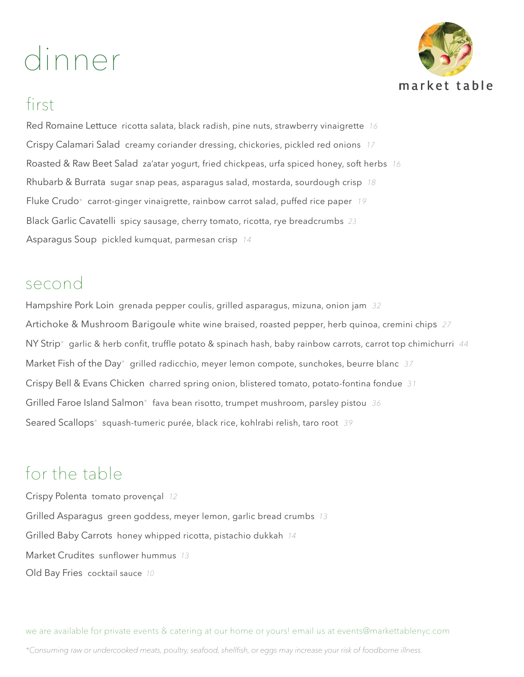# dinner



#### first

Red Romaine Lettuce ricotta salata, black radish, pine nuts, strawberry vinaigrette *16* Crispy Calamari Salad creamy coriander dressing, chickories, pickled red onions *17* Roasted & Raw Beet Salad za'atar yogurt, fried chickpeas, urfa spiced honey, soft herbs *16* Rhubarb & Burrata sugar snap peas, asparagus salad, mostarda, sourdough crisp *18* Fluke Crudo\* carrot-ginger vinaigrette, rainbow carrot salad, puffed rice paper *19* Black Garlic Cavatelli spicy sausage, cherry tomato, ricotta, rye breadcrumbs *23* Asparagus Soup pickled kumquat, parmesan crisp *14*

#### second

Hampshire Pork Loin grenada pepper coulis, grilled asparagus, mizuna, onion jam *32* Artichoke & Mushroom Barigoule white wine braised, roasted pepper, herb quinoa, cremini chips *27* NY Strip\* garlic & herb confit, truffle potato & spinach hash, baby rainbow carrots, carrot top chimichurri *44* Market Fish of the Day\* grilled radicchio, meyer lemon compote, sunchokes, beurre blanc *37* Crispy Bell & Evans Chicken charred spring onion, blistered tomato, potato-fontina fondue *31* Grilled Faroe Island Salmon\* fava bean risotto, trumpet mushroom, parsley pistou *36* Seared Scallops\* squash-tumeric purée, black rice, kohlrabi relish, taro root *39*

#### for the table

Crispy Polenta tomato provençal *12* Grilled Asparagus green goddess, meyer lemon, garlic bread crumbs *13* Grilled Baby Carrots honey whipped ricotta, pistachio dukkah *14* Market Crudites sunflower hummus *13* Old Bay Fries cocktail sauce *10*

*\*Consuming raw or undercooked meats, poultry, seafood, shellfish, or eggs may increase your risk of foodborne illness.* we are available for private events & catering at our home or yours! email us at events@markettablenyc.com